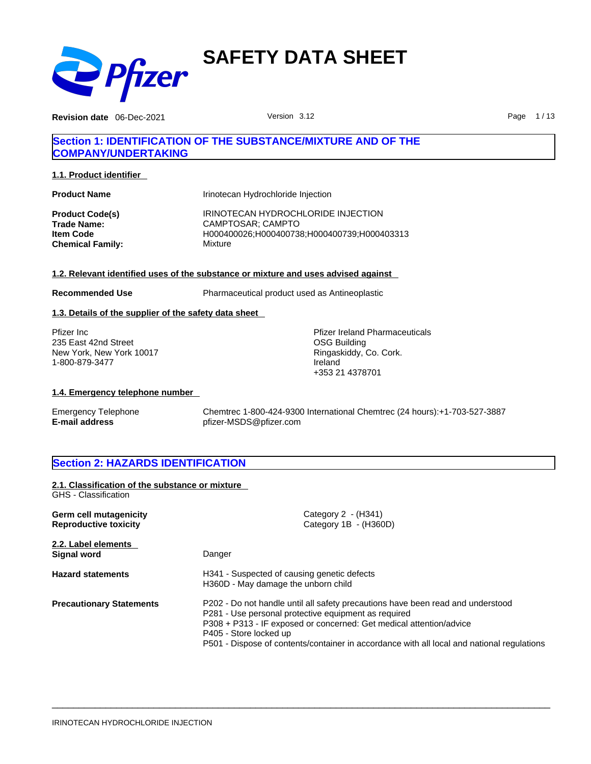

**Revision date** 06-Dec-2021 **Page 1/13** Version 3.12 **Page 1/13** 

# **Section 1: IDENTIFICATION OF THE SUBSTANCE/MIXTURE AND OF THE COMPANY/UNDERTAKING**

**1.1. Product identifier** 

| <b>Product Name</b>     | Irinotecan Hydrochloride Injection          |
|-------------------------|---------------------------------------------|
| <b>Product Code(s)</b>  | IRINOTECAN HYDROCHLORIDE INJECTION          |
| <b>Trade Name:</b>      | CAMPTOSAR: CAMPTO                           |
| <b>Item Code</b>        | H000400026:H000400738:H000400739:H000403313 |
| <b>Chemical Family:</b> | Mixture                                     |

### **1.2. Relevant identified uses of the substance or mixture and uses advised against**

**Recommended Use** Pharmaceutical product used as Antineoplastic

### **1.3. Details of the supplier of the safety data sheet**

Pfizer Inc 235 East 42nd Street New York, New York 10017 1-800-879-3477

Pfizer Ireland Pharmaceuticals OSG Building Ringaskiddy, Co. Cork. Ireland +353 21 4378701

### **1.4. Emergency telephone number**

Emergency Telephone Chemtrec 1-800-424-9300 International Chemtrec (24 hours):+1-703-527-3887 **E-mail address** pfizer-MSDS@pfizer.com

# **Section 2: HAZARDS IDENTIFICATION**

| 2.1. Classification of the substance or mixture<br>GHS - Classification |                                                                                                                                                                                                                                                                                                                                        |
|-------------------------------------------------------------------------|----------------------------------------------------------------------------------------------------------------------------------------------------------------------------------------------------------------------------------------------------------------------------------------------------------------------------------------|
|                                                                         |                                                                                                                                                                                                                                                                                                                                        |
| Germ cell mutagenicity                                                  | Category $2 - (H341)$                                                                                                                                                                                                                                                                                                                  |
| <b>Reproductive toxicity</b>                                            | Category 1B - (H360D)                                                                                                                                                                                                                                                                                                                  |
| 2.2. Label elements                                                     |                                                                                                                                                                                                                                                                                                                                        |
| <b>Signal word</b>                                                      | Danger                                                                                                                                                                                                                                                                                                                                 |
| <b>Hazard statements</b>                                                | H341 - Suspected of causing genetic defects<br>H360D - May damage the unborn child                                                                                                                                                                                                                                                     |
|                                                                         | P202 - Do not handle until all safety precautions have been read and understood<br>P281 - Use personal protective equipment as required<br>P308 + P313 - IF exposed or concerned: Get medical attention/advice<br>P405 - Store locked up<br>P501 - Dispose of contents/container in accordance with all local and national regulations |
| <b>Precautionary Statements</b>                                         |                                                                                                                                                                                                                                                                                                                                        |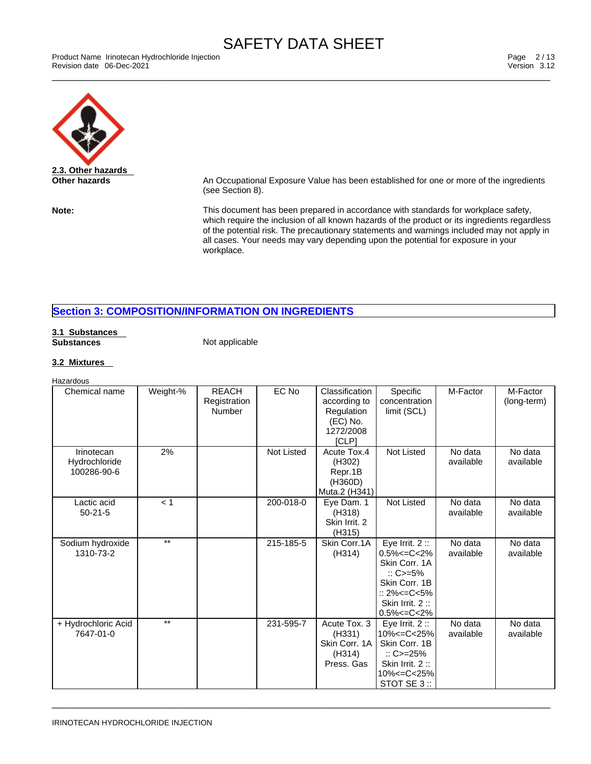Product Name Irinotecan Hydrochloride Injection [13] Product Name Irinotecan Hydrochloride Injection [2010] Page 2 / 13<br>Revision date 06-Dec-2021 [2010] Product Name International Product Name International Product Name In Revision date 06-Dec-2021 Version 3.12



**Other hazards An Occupational Exposure Value has been established for one or more of the ingredients** (see Section 8).

**Note:** This document has been prepared in accordance with standards for workplace safety, which require the inclusion of all known hazards of the product or its ingredients regardless of the potential risk. The precautionary statements and warnings included may not apply in all cases. Your needs may vary depending upon the potential for exposure in your workplace.

# **Section 3: COMPOSITION/INFORMATION ON INGREDIENTS**

#### **3.1 Substances Substances** Not applicable

### **3.2 Mixtures**

| Hazardous                                  |                 |                                        |                   |                                                                                |                                                                                                                                                                  |                      |                         |
|--------------------------------------------|-----------------|----------------------------------------|-------------------|--------------------------------------------------------------------------------|------------------------------------------------------------------------------------------------------------------------------------------------------------------|----------------------|-------------------------|
| Chemical name                              | Weight-%        | <b>REACH</b><br>Registration<br>Number | EC No             | Classification<br>according to<br>Regulation<br>(EC) No.<br>1272/2008<br>[CLP] | Specific<br>concentration<br>limit (SCL)                                                                                                                         | M-Factor             | M-Factor<br>(long-term) |
| Irinotecan<br>Hydrochloride<br>100286-90-6 | 2%              |                                        | <b>Not Listed</b> | Acute Tox.4<br>(H302)<br>Repr.1B<br>(H360D)<br>Muta.2 (H341)                   | <b>Not Listed</b>                                                                                                                                                | No data<br>available | No data<br>available    |
| Lactic acid<br>$50 - 21 - 5$               | < 1             |                                        | 200-018-0         | Eye Dam. 1<br>(H318)<br>Skin Irrit, 2<br>(H315)                                | <b>Not Listed</b>                                                                                                                                                | No data<br>available | No data<br>available    |
| Sodium hydroxide<br>1310-73-2              | $***$           |                                        | 215-185-5         | Skin Corr.1A<br>(H314)                                                         | Eye Irrit. $2::$<br>$0.5\% < = C < 2\%$<br>Skin Corr, 1A<br>$\therefore$ C>=5%<br>Skin Corr, 1B<br>$:: 2\% < = C < 5\%$<br>Skin Irrit. 2:<br>$0.5\% < = C < 2\%$ | No data<br>available | No data<br>available    |
| + Hydrochloric Acid<br>7647-01-0           | $\overline{**}$ |                                        | 231-595-7         | Acute Tox. 3<br>(H331)<br>Skin Corr, 1A<br>(H314)<br>Press, Gas                | Eye Irrit. $2::$<br>10% <= C< 25%<br>Skin Corr. 1B<br>$\therefore$ C>=25%<br>Skin Irrit. 2:<br>10% <= C< 25%<br>STOT SE 3 ::                                     | No data<br>available | No data<br>available    |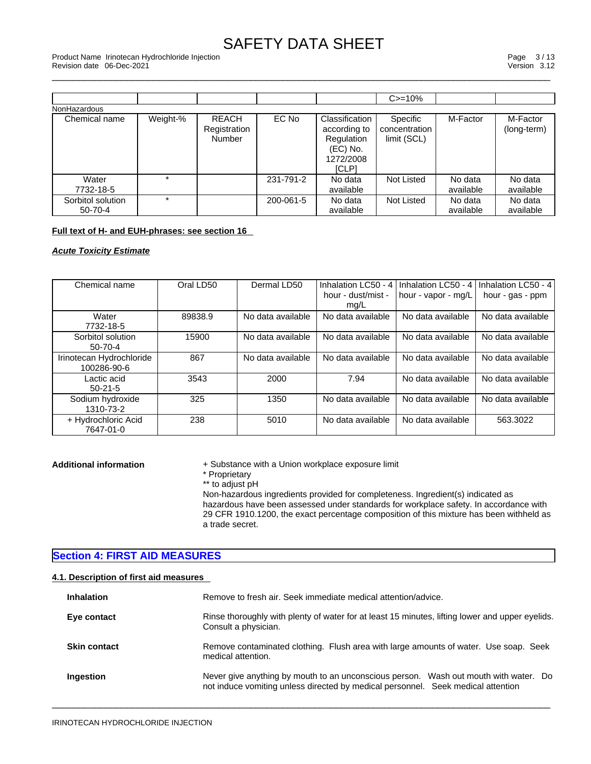\_\_\_\_\_\_\_\_\_\_\_\_\_\_\_\_\_\_\_\_\_\_\_\_\_\_\_\_\_\_\_\_\_\_\_\_\_\_\_\_\_\_\_\_\_\_\_\_\_\_\_\_\_\_\_\_\_\_\_\_\_\_\_\_\_\_\_\_\_\_\_\_\_\_\_\_\_\_\_\_\_\_\_\_\_\_\_\_\_\_\_\_\_ Product Name Irinotecan Hydrochloride Injection Page 3 / 13 Revision date 06-Dec-2021 Version 3.12

|                                    |          |                                               |           |                                                                                       | $C = 10%$                                |                      |                         |
|------------------------------------|----------|-----------------------------------------------|-----------|---------------------------------------------------------------------------------------|------------------------------------------|----------------------|-------------------------|
| NonHazardous                       |          |                                               |           |                                                                                       |                                          |                      |                         |
| Chemical name                      | Weight-% | <b>REACH</b><br>Registration<br><b>Number</b> | EC No     | Classification<br>according to<br>Regulation<br>(EC) No.<br>1272/2008<br><b>ICLP1</b> | Specific<br>concentration<br>limit (SCL) | M-Factor             | M-Factor<br>(long-term) |
| Water<br>7732-18-5                 |          |                                               | 231-791-2 | No data<br>available                                                                  | <b>Not Listed</b>                        | No data<br>available | No data<br>available    |
| Sorbitol solution<br>$50 - 70 - 4$ | $\star$  |                                               | 200-061-5 | No data<br>available                                                                  | Not Listed                               | No data<br>available | No data<br>available    |

# **Full text of H- and EUH-phrases: see section 16**

*Acute Toxicity Estimate*

| Chemical name            | Oral LD50 | Dermal LD50       | Inhalation LC50 - 4 | Inhalation LC50 - 4 | Inhalation LC50 - 4 |  |
|--------------------------|-----------|-------------------|---------------------|---------------------|---------------------|--|
|                          |           |                   | hour - dust/mist -  | hour - vapor - mg/L | hour - gas - ppm    |  |
|                          |           |                   | mq/L                |                     |                     |  |
| Water                    | 89838.9   | No data available | No data available   | No data available   | No data available   |  |
| 7732-18-5                |           |                   |                     |                     |                     |  |
| Sorbitol solution        | 15900     | No data available | No data available   | No data available   | No data available   |  |
| $50 - 70 - 4$            |           |                   |                     |                     |                     |  |
| Irinotecan Hydrochloride | 867       | No data available | No data available   | No data available   | No data available   |  |
| 100286-90-6              |           |                   |                     |                     |                     |  |
| Lactic acid              | 3543      | 2000              | 7.94                | No data available   | No data available   |  |
| $50-21-5$                |           |                   |                     |                     |                     |  |
| Sodium hydroxide         | 325       | 1350              | No data available   | No data available   | No data available   |  |
| 1310-73-2                |           |                   |                     |                     |                     |  |
| + Hydrochloric Acid      | 238       | 5010              | No data available   | No data available   | 563.3022            |  |
| 7647-01-0                |           |                   |                     |                     |                     |  |

**Additional information** + Substance with a Union workplace exposure limit<br>
\* Proprietary

- 
- \*\* to adjust pH

Non-hazardous ingredients provided for completeness. Ingredient(s) indicated as hazardous have been assessed under standards for workplace safety. In accordance with 29 CFR 1910.1200, the exact percentage composition of this mixture has been withheld as a trade secret.

### **Section 4: FIRST AID MEASURES**

### **4.1. Description of first aid measures**

| <b>Inhalation</b>   | Remove to fresh air. Seek immediate medical attention/advice.                                                                                                            |
|---------------------|--------------------------------------------------------------------------------------------------------------------------------------------------------------------------|
| Eye contact         | Rinse thoroughly with plenty of water for at least 15 minutes, lifting lower and upper eyelids.<br>Consult a physician.                                                  |
| <b>Skin contact</b> | Remove contaminated clothing. Flush area with large amounts of water. Use soap. Seek<br>medical attention.                                                               |
| Ingestion           | Never give anything by mouth to an unconscious person. Wash out mouth with water. Do<br>not induce vomiting unless directed by medical personnel. Seek medical attention |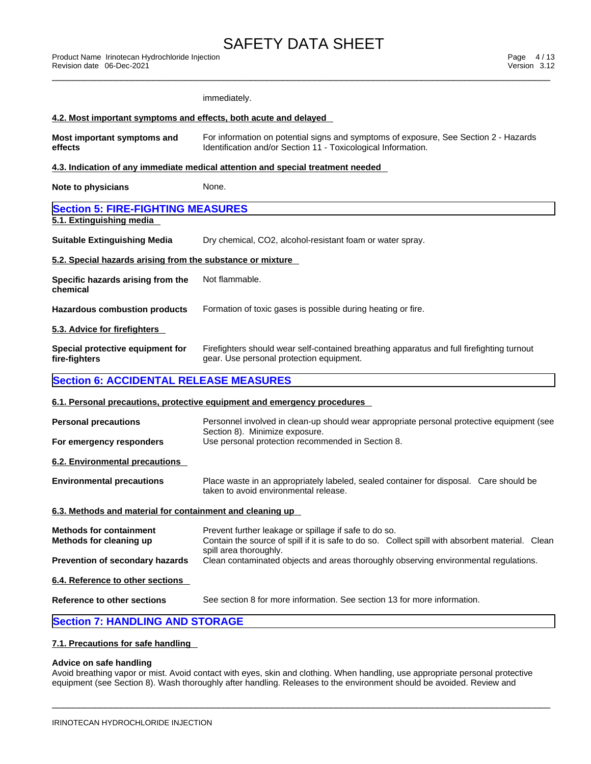|                                                                  | immediately.                                                                                                                                                                        |
|------------------------------------------------------------------|-------------------------------------------------------------------------------------------------------------------------------------------------------------------------------------|
| 4.2. Most important symptoms and effects, both acute and delayed |                                                                                                                                                                                     |
| Most important symptoms and<br>effects                           | For information on potential signs and symptoms of exposure, See Section 2 - Hazards<br>Identification and/or Section 11 - Toxicological Information.                               |
|                                                                  | 4.3. Indication of any immediate medical attention and special treatment needed                                                                                                     |
| Note to physicians                                               | None.                                                                                                                                                                               |
| <b>Section 5: FIRE-FIGHTING MEASURES</b>                         |                                                                                                                                                                                     |
| 5.1. Extinguishing media                                         |                                                                                                                                                                                     |
| <b>Suitable Extinguishing Media</b>                              | Dry chemical, CO2, alcohol-resistant foam or water spray.                                                                                                                           |
| 5.2. Special hazards arising from the substance or mixture       |                                                                                                                                                                                     |
| Specific hazards arising from the<br>chemical                    | Not flammable.                                                                                                                                                                      |
| <b>Hazardous combustion products</b>                             | Formation of toxic gases is possible during heating or fire.                                                                                                                        |
| 5.3. Advice for firefighters                                     |                                                                                                                                                                                     |
| Special protective equipment for<br>fire-fighters                | Firefighters should wear self-contained breathing apparatus and full firefighting turnout<br>gear. Use personal protection equipment.                                               |
| <b>Section 6: ACCIDENTAL RELEASE MEASURES</b>                    |                                                                                                                                                                                     |
|                                                                  | 6.1. Personal precautions, protective equipment and emergency procedures                                                                                                            |
| <b>Personal precautions</b>                                      | Personnel involved in clean-up should wear appropriate personal protective equipment (see<br>Section 8). Minimize exposure.                                                         |
| For emergency responders                                         | Use personal protection recommended in Section 8.                                                                                                                                   |
| 6.2. Environmental precautions                                   |                                                                                                                                                                                     |
| <b>Environmental precautions</b>                                 | Place waste in an appropriately labeled, sealed container for disposal. Care should be<br>taken to avoid environmental release.                                                     |
| 6.3. Methods and material for containment and cleaning up        |                                                                                                                                                                                     |
| <b>Methods for containment</b><br>Methods for cleaning up        | Prevent further leakage or spillage if safe to do so.<br>Contain the source of spill if it is safe to do so. Collect spill with absorbent material. Clean<br>spill area thoroughly. |
| Prevention of secondary hazards                                  | Clean contaminated objects and areas thoroughly observing environmental regulations.                                                                                                |
| 6.4. Reference to other sections                                 |                                                                                                                                                                                     |
| <b>Reference to other sections</b>                               | See section 8 for more information. See section 13 for more information.                                                                                                            |
| <b>Section 7: HANDLING AND STORAGE</b>                           |                                                                                                                                                                                     |
|                                                                  |                                                                                                                                                                                     |

# **7.1. Precautions for safe handling**

### **Advice on safe handling**

Avoid breathing vapor or mist. Avoid contact with eyes, skin and clothing. When handling, use appropriate personal protective equipment (see Section 8). Wash thoroughly after handling. Releases to the environment should be avoided. Review and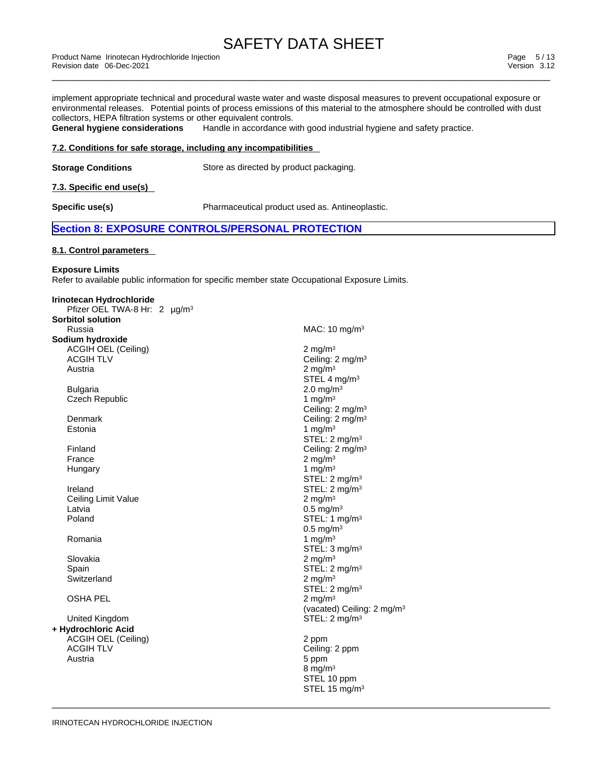Product Name Irinotecan Hydrochloride Injection [13] Product Name Irinotecan Hydrochloride Injection [2010] Page 5 / 13<br>Revision date 06-Dec-2021 [2010] Product Name International Product Name International Product Name In Revision date 06-Dec-2021 Version 3.12

implement appropriate technical and procedural waste water and waste disposal measures to prevent occupational exposure or environmental releases. Potential points of process emissions of this material to the atmosphere should be controlled with dust collectors, HEPA filtration systems or other equivalent controls.<br>General hygiene considerations Handle in accordance w

Handle in accordance with good industrial hygiene and safety practice.

### **7.2. Conditions for safe storage, including any incompatibilities**

**Storage Conditions** Store as directed by product packaging.

**7.3. Specific end use(s)** 

**Specific use(s)** Pharmaceutical product used as. Antineoplastic.

 $\overline{\phantom{a}}$  ,  $\overline{\phantom{a}}$  ,  $\overline{\phantom{a}}$  ,  $\overline{\phantom{a}}$  ,  $\overline{\phantom{a}}$  ,  $\overline{\phantom{a}}$  ,  $\overline{\phantom{a}}$  ,  $\overline{\phantom{a}}$  ,  $\overline{\phantom{a}}$  ,  $\overline{\phantom{a}}$  ,  $\overline{\phantom{a}}$  ,  $\overline{\phantom{a}}$  ,  $\overline{\phantom{a}}$  ,  $\overline{\phantom{a}}$  ,  $\overline{\phantom{a}}$  ,  $\overline{\phantom{a}}$ 

### **Section 8: EXPOSURE CONTROLS/PERSONAL PROTECTION**

### **8.1. Control parameters**

**Exposure Limits**

Refer to available public information for specific member state Occupational Exposure Limits.

| Irinotecan Hydrochloride                 |                                        |
|------------------------------------------|----------------------------------------|
| Pfizer OEL TWA-8 Hr: 2 µg/m <sup>3</sup> |                                        |
| <b>Sorbitol solution</b>                 |                                        |
| Russia                                   | MAC: 10 mg/m <sup>3</sup>              |
| Sodium hydroxide                         |                                        |
| <b>ACGIH OEL (Ceiling)</b>               | 2 mg/m $3$                             |
| <b>ACGIH TLV</b>                         | Ceiling: 2 mg/m <sup>3</sup>           |
| Austria                                  | 2 mg/m $3$                             |
|                                          | STEL 4 mg/m <sup>3</sup>               |
| <b>Bulgaria</b>                          | $2.0 \,\mathrm{mg/m^3}$                |
| <b>Czech Republic</b>                    | 1 mg/m $3$                             |
|                                          | Ceiling: 2 mg/m <sup>3</sup>           |
| Denmark                                  | Ceiling: 2 mg/m <sup>3</sup>           |
| Estonia                                  | 1 mg/m $3$                             |
|                                          | STEL: 2 mg/m <sup>3</sup>              |
| Finland                                  | Ceiling: 2 mg/m <sup>3</sup>           |
| France                                   | 2 mg/m $3$                             |
| Hungary                                  | 1 mg/m $3$                             |
|                                          | STEL: 2 mg/m <sup>3</sup>              |
| Ireland                                  | STEL: $2 \text{ mg/m}^3$               |
| Ceiling Limit Value                      | 2 mg/m $3$                             |
| Latvia                                   | $0.5 \text{ mg/m}^3$                   |
| Poland                                   | STEL: 1 mg/m <sup>3</sup>              |
|                                          | $0.5 \text{ mg/m}^3$                   |
| Romania                                  | 1 mg/m $3$                             |
|                                          | STEL: 3 mg/m <sup>3</sup>              |
| Slovakia                                 | 2 mg/m $3$                             |
| Spain                                    | STEL: $2 \text{ mg/m}^3$               |
| Switzerland                              | 2 mg/m $3$                             |
|                                          | STEL: 2 mg/m <sup>3</sup>              |
| <b>OSHA PEL</b>                          | 2 mg/m $3$                             |
|                                          | (vacated) Ceiling: 2 mg/m <sup>3</sup> |
| United Kingdom                           | STEL: 2 mg/m <sup>3</sup>              |
| + Hydrochloric Acid                      |                                        |
| <b>ACGIH OEL (Ceiling)</b>               | 2 ppm                                  |
| <b>ACGIH TLV</b>                         | Ceiling: 2 ppm                         |
| Austria                                  | 5 ppm                                  |
|                                          | 8 mg/m $3$                             |
|                                          | STEL 10 ppm                            |
|                                          | STEL 15 mg/m <sup>3</sup>              |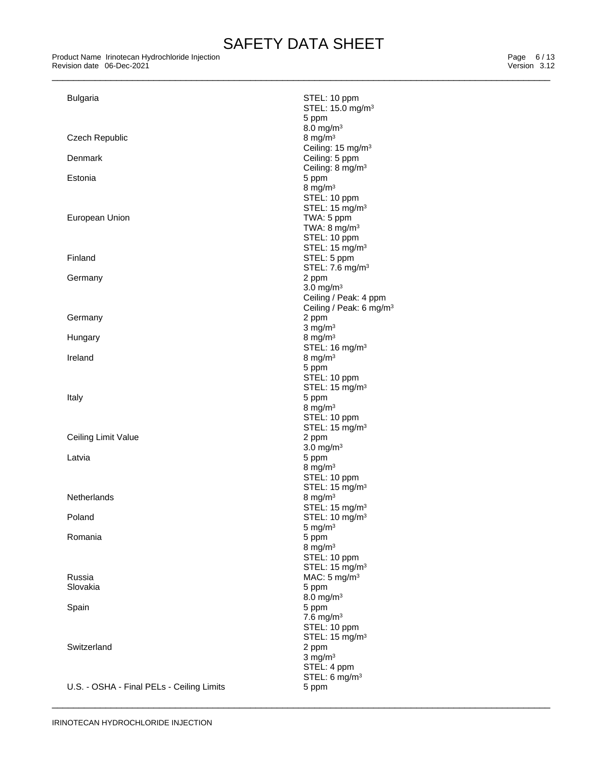Product Name Irinotecan Hydrochloride Injection [13] Product Name Irinotecan Hydrochloride Injection [2010] Page 6 / 13<br>Revision date 06-Dec-2021 [2010] Product Name International Product Name International Product Name In Revision date 06-Dec-2021 **Version 3.12** 

| <b>Bulgaria</b>                           | STEL: 10 ppm<br>STEL: 15.0 mg/m <sup>3</sup> |
|-------------------------------------------|----------------------------------------------|
|                                           | 5 ppm                                        |
|                                           | $8.0$ mg/m <sup>3</sup>                      |
| Czech Republic                            | 8 mg/m $3$                                   |
|                                           | Ceiling: 15 mg/m <sup>3</sup>                |
| Denmark                                   | Ceiling: 5 ppm                               |
| Estonia                                   | Ceiling: 8 mg/m <sup>3</sup>                 |
|                                           | 5 ppm<br>8 mg/m $3$                          |
|                                           | STEL: 10 ppm                                 |
|                                           | STEL: 15 mg/m <sup>3</sup>                   |
| European Union                            | TWA: 5 ppm                                   |
|                                           | TWA: $8 \text{ mg/m}^3$                      |
|                                           | STEL: 10 ppm<br>STEL: 15 mg/m <sup>3</sup>   |
| Finland                                   | STEL: 5 ppm                                  |
|                                           | STEL: 7.6 mg/m <sup>3</sup>                  |
| Germany                                   | 2 ppm                                        |
|                                           | $3.0$ mg/m <sup>3</sup>                      |
|                                           | Ceiling / Peak: 4 ppm                        |
|                                           | Ceiling / Peak: 6 mg/m <sup>3</sup>          |
| Germany                                   | 2 ppm<br>$3$ mg/m <sup>3</sup>               |
| Hungary                                   | 8 mg/m $3$                                   |
|                                           | STEL: 16 mg/m <sup>3</sup>                   |
| Ireland                                   | 8 mg/m $3$                                   |
|                                           | 5 ppm                                        |
|                                           | STEL: 10 ppm                                 |
| Italy                                     | STEL: 15 mg/m <sup>3</sup><br>5 ppm          |
|                                           | 8 mg/m $3$                                   |
|                                           | STEL: 10 ppm                                 |
|                                           | STEL: 15 mg/m <sup>3</sup>                   |
| Ceiling Limit Value                       | 2 ppm                                        |
|                                           | $3.0$ mg/m <sup>3</sup>                      |
| Latvia                                    | 5 ppm<br>8 mg/m $3$                          |
|                                           | STEL: 10 ppm                                 |
|                                           | STEL: 15 mg/m <sup>3</sup>                   |
| <b>Netherlands</b>                        | 8 mg/m $3$                                   |
|                                           | STEL: 15 mg/m <sup>3</sup>                   |
| Poland                                    | STEL: 10 mg/m <sup>3</sup>                   |
| Romania                                   | $5 \text{ mg/m}^3$<br>5 ppm                  |
|                                           | 8 mg/m $3$                                   |
|                                           | STEL: 10 ppm                                 |
|                                           | STEL: 15 mg/m <sup>3</sup>                   |
| Russia                                    | MAC: $5 \text{ mg/m}^3$                      |
| Slovakia                                  | 5 ppm                                        |
| Spain                                     | 8.0 mg/m <sup>3</sup><br>5 ppm               |
|                                           | $7.6$ mg/m <sup>3</sup>                      |
|                                           | STEL: 10 ppm                                 |
|                                           | STEL: 15 mg/m <sup>3</sup>                   |
| Switzerland                               | 2 ppm                                        |
|                                           | $3$ mg/m $3$                                 |
|                                           | STEL: 4 ppm<br>STEL: 6 mg/m <sup>3</sup>     |
| U.S. - OSHA - Final PELs - Ceiling Limits | 5 ppm                                        |
|                                           |                                              |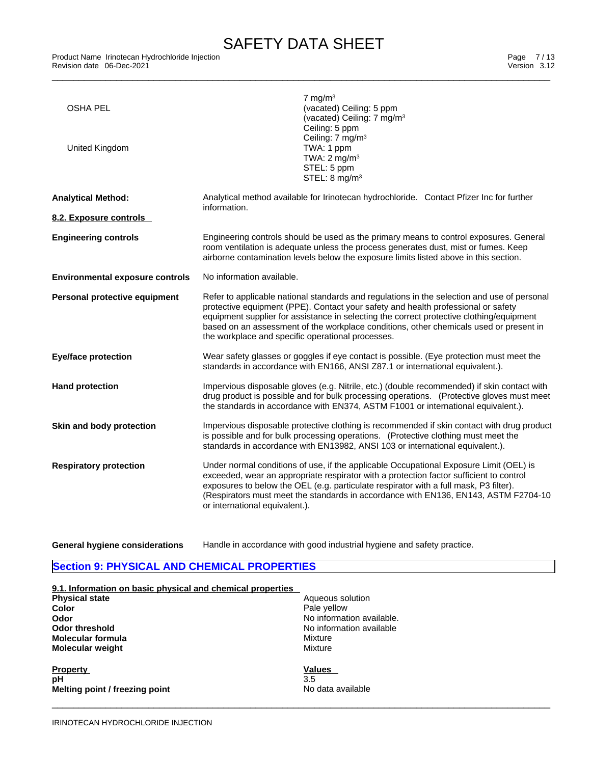| <b>OSHA PEL</b><br>United Kingdom      | $7 \text{ mg/m}^3$<br>(vacated) Ceiling: 5 ppm<br>(vacated) Ceiling: 7 mg/m <sup>3</sup><br>Ceiling: 5 ppm<br>Ceiling: 7 mg/m <sup>3</sup><br>TWA: 1 ppm<br>TWA: $2 \text{ mg/m}^3$<br>STEL: 5 ppm<br>STEL: 8 mg/m <sup>3</sup>                                                                                                                                                                                             |
|----------------------------------------|-----------------------------------------------------------------------------------------------------------------------------------------------------------------------------------------------------------------------------------------------------------------------------------------------------------------------------------------------------------------------------------------------------------------------------|
| <b>Analytical Method:</b>              | Analytical method available for Irinotecan hydrochloride. Contact Pfizer Inc for further<br>information.                                                                                                                                                                                                                                                                                                                    |
| 8.2. Exposure controls                 |                                                                                                                                                                                                                                                                                                                                                                                                                             |
| <b>Engineering controls</b>            | Engineering controls should be used as the primary means to control exposures. General<br>room ventilation is adequate unless the process generates dust, mist or fumes. Keep<br>airborne contamination levels below the exposure limits listed above in this section.                                                                                                                                                      |
| <b>Environmental exposure controls</b> | No information available.                                                                                                                                                                                                                                                                                                                                                                                                   |
| Personal protective equipment          | Refer to applicable national standards and regulations in the selection and use of personal<br>protective equipment (PPE). Contact your safety and health professional or safety<br>equipment supplier for assistance in selecting the correct protective clothing/equipment<br>based on an assessment of the workplace conditions, other chemicals used or present in<br>the workplace and specific operational processes. |
| <b>Eye/face protection</b>             | Wear safety glasses or goggles if eye contact is possible. (Eye protection must meet the<br>standards in accordance with EN166, ANSI Z87.1 or international equivalent.).                                                                                                                                                                                                                                                   |
| <b>Hand protection</b>                 | Impervious disposable gloves (e.g. Nitrile, etc.) (double recommended) if skin contact with<br>drug product is possible and for bulk processing operations. (Protective gloves must meet<br>the standards in accordance with EN374, ASTM F1001 or international equivalent.).                                                                                                                                               |
| Skin and body protection               | Impervious disposable protective clothing is recommended if skin contact with drug product<br>is possible and for bulk processing operations. (Protective clothing must meet the<br>standards in accordance with EN13982, ANSI 103 or international equivalent.).                                                                                                                                                           |
| <b>Respiratory protection</b>          | Under normal conditions of use, if the applicable Occupational Exposure Limit (OEL) is<br>exceeded, wear an appropriate respirator with a protection factor sufficient to control<br>exposures to below the OEL (e.g. particulate respirator with a full mask, P3 filter).<br>(Respirators must meet the standards in accordance with EN136, EN143, ASTM F2704-10<br>or international equivalent.).                         |

**General hygiene considerations** Handle in accordance with good industrial hygiene and safety practice.

# **Section 9: PHYSICAL AND CHEMICAL PROPERTIES**

| 9.1. Information on basic physical and chemical properties |                           |
|------------------------------------------------------------|---------------------------|
| <b>Physical state</b>                                      | Aqueous solution          |
| Color                                                      | Pale yellow               |
| Odor                                                       | No information available. |
| Odor threshold                                             | No information available  |
| Molecular formula                                          | Mixture                   |
| <b>Molecular weight</b>                                    | Mixture                   |
| <b>Property</b>                                            | <b>Values</b>             |
| pH                                                         | 3.5                       |
| Melting point / freezing point                             | No data available         |
|                                                            |                           |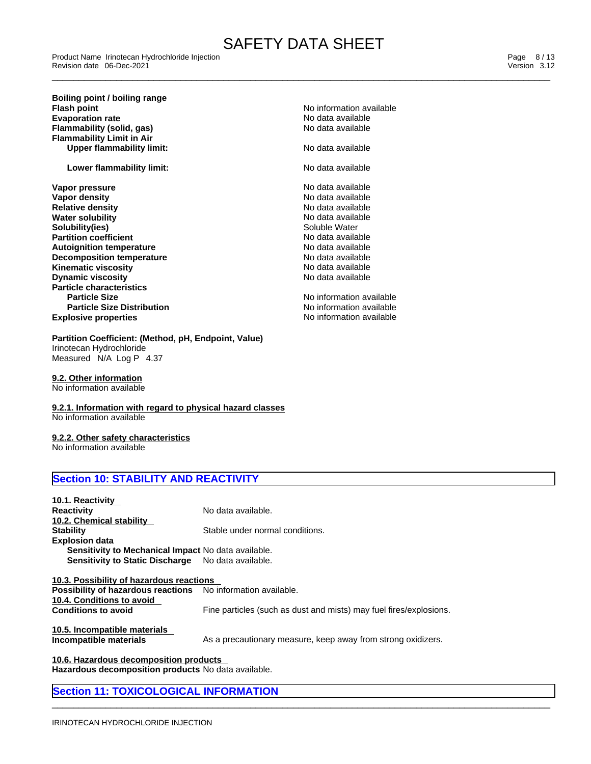Product Name Irinotecan Hydrochloride Injection [13] Product Name Irinotecan Hydrochloride Injection [2010] Page 8 / 13<br>Revision date 06-Dec-2021 [2010] Product Name International Product Name International Product Name In Revision date 06-Dec-2021 Version 3.12

**Boiling point / boiling range Flash point**<br> **Flash point**<br> **Evaporation rate**<br> **Evaporation rate**<br> **No data available Evaporation rate**<br> **Evaporation rate** No data available<br> **Flammability (solid. gas)**<br> **Evaporation rate** No data available **Flammability** (solid, gas) **Flammability Limit in Air Upper flammability limit:** No data available

**Lower flammability limit:**  $\qquad \qquad \qquad$  No data available

**Explosive properties Explosive properties No information available Vapor pressure** No data available **Vapor density and the set of the control of the Vapor density and the Vapor density of the Vapor Set of the Va<br>Relative density and the Vapor of the Vapor Set of the Vapor Set of the Vapor Set of the Vapor Set of the Vapo Relative density**<br> **Relative density**<br> **Water solubility**<br> **Water solubility Water solubility No data availa**<br> **Solubility (ies)**<br>
Solubility (ies) **Solubility(ies)**<br> **Partition coefficient**<br> **Partition coefficient**<br> **Partition coefficient Partition** coefficient **Autoignition temperature**  $\qquad \qquad \qquad$  No data available **Decomposition temperature No data available** No data available **Kinematic viscosity**<br> **Discussion Discussion Contract Contract Contract Contract Contract Contract Contract Contract Contract Contract Contract Contract Contract Contract Contract Contract Contract Contract Contract Contr Dynamic viscosity Particle characteristics Particle Size No information available No information available Particle Size Distribution No information available** 

### **Partition Coefficient: (Method, pH, Endpoint, Value)** Irinotecan Hydrochloride

Measured N/A Log P 4.37

**9.2. Other information** No information available

**9.2.1. Information with regard to physical hazard classes** No information available

**9.2.2. Other safety characteristics**

No information available

# **Section 10: STABILITY AND REACTIVITY**

| 10.1. Reactivity                                                    |                                                                    |
|---------------------------------------------------------------------|--------------------------------------------------------------------|
| Reactivity                                                          | No data available.                                                 |
| 10.2. Chemical stability                                            |                                                                    |
| Stabilitv                                                           | Stable under normal conditions.                                    |
| <b>Explosion data</b>                                               |                                                                    |
| <b>Sensitivity to Mechanical Impact No data available.</b>          |                                                                    |
| <b>Sensitivity to Static Discharge</b>                              | No data available.                                                 |
|                                                                     |                                                                    |
| 10.3. Possibility of hazardous reactions                            |                                                                    |
| <b>Possibility of hazardous reactions</b> No information available. |                                                                    |
| 10.4. Conditions to avoid                                           |                                                                    |
| <b>Conditions to avoid</b>                                          | Fine particles (such as dust and mists) may fuel fires/explosions. |
|                                                                     |                                                                    |
| 10.5. Incompatible materials                                        |                                                                    |
| Incompatible materials                                              | As a precautionary measure, keep away from strong oxidizers.       |
|                                                                     |                                                                    |

 $\overline{\phantom{a}}$  ,  $\overline{\phantom{a}}$  ,  $\overline{\phantom{a}}$  ,  $\overline{\phantom{a}}$  ,  $\overline{\phantom{a}}$  ,  $\overline{\phantom{a}}$  ,  $\overline{\phantom{a}}$  ,  $\overline{\phantom{a}}$  ,  $\overline{\phantom{a}}$  ,  $\overline{\phantom{a}}$  ,  $\overline{\phantom{a}}$  ,  $\overline{\phantom{a}}$  ,  $\overline{\phantom{a}}$  ,  $\overline{\phantom{a}}$  ,  $\overline{\phantom{a}}$  ,  $\overline{\phantom{a}}$ 

**10.6. Hazardous decomposition products Hazardous decomposition products** No data available.

### **Section 11: TOXICOLOGICAL INFORMATION**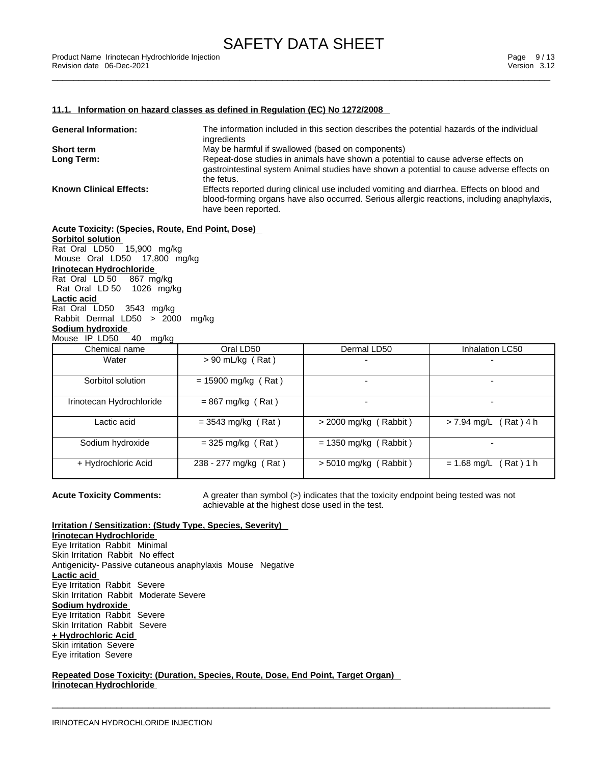#### **11.1. Information on hazard classes as defined in Regulation (EC) No 1272/2008**

| <b>General Information:</b>    | The information included in this section describes the potential hazards of the individual<br>ingredients          |
|--------------------------------|--------------------------------------------------------------------------------------------------------------------|
| <b>Short term</b>              | May be harmful if swallowed (based on components)                                                                  |
| Long Term:                     | Repeat-dose studies in animals have shown a potential to cause adverse effects on                                  |
|                                | gastrointestinal system Animal studies have shown a potential to cause adverse effects on<br>the fetus.            |
| <b>Known Clinical Effects:</b> | Effects reported during clinical use included vomiting and diarrhea. Effects on blood and                          |
|                                | blood-forming organs have also occurred. Serious allergic reactions, including anaphylaxis,<br>have been reported. |

#### **Acute Toxicity: (Species, Route, End Point, Dose)**

**Sorbitol solution** Rat Oral LD50 15,900 mg/kg Mouse Oral LD50 17,800 mg/kg **Irinotecan Hydrochloride** Rat Oral LD 50 867 mg/kg Rat Oral LD 50 1026 mg/kg **Lactic acid** Rat Oral LD50 3543 mg/kg Rabbit Dermal LD50 > 2000 mg/kg **Sodium hydroxide** Mouse IP LD50 40 mg/kg

| Chemical name            | Oral LD50             | Dermal LD50                  | Inhalation LC50             |
|--------------------------|-----------------------|------------------------------|-----------------------------|
| Water                    | $> 90$ mL/kg (Rat)    |                              |                             |
| Sorbitol solution        | $= 15900$ mg/kg (Rat) |                              |                             |
| Irinotecan Hydrochloride | $= 867$ mg/kg (Rat)   |                              |                             |
| Lactic acid              | $= 3543$ mg/kg (Rat)  | $>$ 2000 mg/kg (Rabbit)      | Rat) 4 h<br>$> 7.94$ mg/L ( |
| Sodium hydroxide         | $=$ 325 mg/kg (Rat)   | $= 1350$ mg/kg (<br>(Rabbit) |                             |
| + Hydrochloric Acid      | 238 - 277 mg/kg (Rat) | $> 5010$ mg/kg (Rabbit)      | $= 1.68$ mg/L (<br>(Rat)1 h |

**Acute Toxicity Comments:** A greater than symbol (>) indicates that the toxicity endpoint being tested was not achievable at the highest dose used in the test.

 $\overline{\phantom{a}}$  ,  $\overline{\phantom{a}}$  ,  $\overline{\phantom{a}}$  ,  $\overline{\phantom{a}}$  ,  $\overline{\phantom{a}}$  ,  $\overline{\phantom{a}}$  ,  $\overline{\phantom{a}}$  ,  $\overline{\phantom{a}}$  ,  $\overline{\phantom{a}}$  ,  $\overline{\phantom{a}}$  ,  $\overline{\phantom{a}}$  ,  $\overline{\phantom{a}}$  ,  $\overline{\phantom{a}}$  ,  $\overline{\phantom{a}}$  ,  $\overline{\phantom{a}}$  ,  $\overline{\phantom{a}}$ 

### **Irritation / Sensitization: (Study Type, Species, Severity)**

**Irinotecan Hydrochloride** Eye Irritation Rabbit Minimal Skin Irritation Rabbit No effect Antigenicity- Passive cutaneous anaphylaxis Mouse Negative **Lactic acid** Eye Irritation Rabbit Severe Skin Irritation Rabbit Moderate Severe **Sodium hydroxide** Eye Irritation Rabbit Severe Skin Irritation Rabbit Severe **+ Hydrochloric Acid** Skin irritation Severe Eye irritation Severe

**Repeated Dose Toxicity: (Duration, Species, Route, Dose, End Point, Target Organ) Irinotecan Hydrochloride**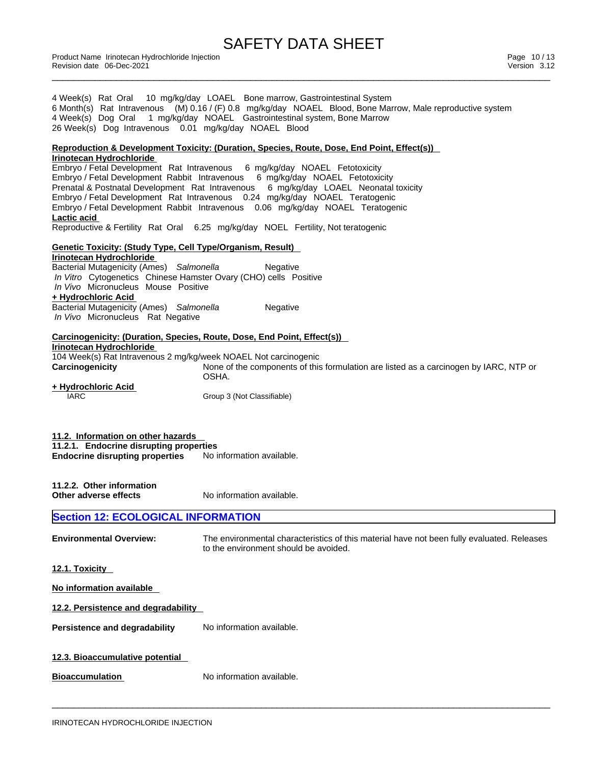Product Name Irinotecan Hydrochloride Injection [13] Product Name Irinotecan Hydrochloride Injection [13] Page 10 / 13<br>Revision date 06-Dec-2021 [13] Product Name International Product Name International Product Name Inter Revision date 06-Dec-2021 **Version 3.12** 

| 4 Week(s) Rat Oral 10 mg/kg/day LOAEL Bone marrow, Gastrointestinal System<br>6 Month(s) Rat Intravenous (M) 0.16 / (F) 0.8 mg/kg/day NOAEL Blood, Bone Marrow, Male reproductive system<br>4 Week(s) Dog Oral 1 mg/kg/day NOAEL Gastrointestinal system, Bone Marrow<br>26 Week(s) Dog Intravenous 0.01 mg/kg/day NOAEL Blood |                                                                                                                                                                                                                                                                                                                                                                                                                                                                                                        |  |  |
|--------------------------------------------------------------------------------------------------------------------------------------------------------------------------------------------------------------------------------------------------------------------------------------------------------------------------------|--------------------------------------------------------------------------------------------------------------------------------------------------------------------------------------------------------------------------------------------------------------------------------------------------------------------------------------------------------------------------------------------------------------------------------------------------------------------------------------------------------|--|--|
|                                                                                                                                                                                                                                                                                                                                | Reproduction & Development Toxicity: (Duration, Species, Route, Dose, End Point, Effect(s))                                                                                                                                                                                                                                                                                                                                                                                                            |  |  |
| Irinotecan Hydrochloride<br>Lactic acid                                                                                                                                                                                                                                                                                        | Embryo / Fetal Development Rat Intravenous 6 mg/kg/day NOAEL Fetotoxicity<br>Embryo / Fetal Development Rabbit Intravenous 6 mg/kg/day NOAEL Fetotoxicity<br>Prenatal & Postnatal Development Rat Intravenous 6 mg/kg/day LOAEL Neonatal toxicity<br>Embryo / Fetal Development Rat Intravenous 0.24 mg/kg/day NOAEL Teratogenic<br>Embryo / Fetal Development Rabbit Intravenous 0.06 mg/kg/day NOAEL Teratogenic<br>Reproductive & Fertility Rat Oral 6.25 mg/kg/day NOEL Fertility, Not teratogenic |  |  |
| <b>Genetic Toxicity: (Study Type, Cell Type/Organism, Result)</b>                                                                                                                                                                                                                                                              |                                                                                                                                                                                                                                                                                                                                                                                                                                                                                                        |  |  |
| Irinotecan Hydrochloride<br>Bacterial Mutagenicity (Ames) Salmonella<br>In Vitro Cytogenetics Chinese Hamster Ovary (CHO) cells Positive<br>In Vivo Micronucleus Mouse Positive<br>+ Hydrochloric Acid<br>Bacterial Mutagenicity (Ames) Salmonella<br>In Vivo Micronucleus Rat Negative                                        | Negative<br>Negative                                                                                                                                                                                                                                                                                                                                                                                                                                                                                   |  |  |
| Carcinogenicity: (Duration, Species, Route, Dose, End Point, Effect(s))                                                                                                                                                                                                                                                        |                                                                                                                                                                                                                                                                                                                                                                                                                                                                                                        |  |  |
| Irinotecan Hydrochloride<br>104 Week(s) Rat Intravenous 2 mg/kg/week NOAEL Not carcinogenic<br>Carcinogenicity<br><u>+ Hydrochloric Acid</u><br><b>IARC</b>                                                                                                                                                                    | None of the components of this formulation are listed as a carcinogen by IARC, NTP or<br>OSHA.<br>Group 3 (Not Classifiable)                                                                                                                                                                                                                                                                                                                                                                           |  |  |
| 11.2. Information on other hazards<br>11.2.1. Endocrine disrupting properties<br><b>Endocrine disrupting properties</b>                                                                                                                                                                                                        | No information available.                                                                                                                                                                                                                                                                                                                                                                                                                                                                              |  |  |
| 11.2.2. Other information<br>Other adverse effects                                                                                                                                                                                                                                                                             | No information available.                                                                                                                                                                                                                                                                                                                                                                                                                                                                              |  |  |
| <b>Section 12: ECOLOGICAL INFORMATION</b>                                                                                                                                                                                                                                                                                      |                                                                                                                                                                                                                                                                                                                                                                                                                                                                                                        |  |  |
| <b>Environmental Overview:</b>                                                                                                                                                                                                                                                                                                 | The environmental characteristics of this material have not been fully evaluated. Releases<br>to the environment should be avoided.                                                                                                                                                                                                                                                                                                                                                                    |  |  |
| 12.1. Toxicity                                                                                                                                                                                                                                                                                                                 |                                                                                                                                                                                                                                                                                                                                                                                                                                                                                                        |  |  |
| No information available                                                                                                                                                                                                                                                                                                       |                                                                                                                                                                                                                                                                                                                                                                                                                                                                                                        |  |  |
| 12.2. Persistence and degradability                                                                                                                                                                                                                                                                                            |                                                                                                                                                                                                                                                                                                                                                                                                                                                                                                        |  |  |
| <b>Persistence and degradability</b>                                                                                                                                                                                                                                                                                           | No information available.                                                                                                                                                                                                                                                                                                                                                                                                                                                                              |  |  |
| 12.3. Bioaccumulative potential<br><b>Bioaccumulation</b>                                                                                                                                                                                                                                                                      | No information available.                                                                                                                                                                                                                                                                                                                                                                                                                                                                              |  |  |
|                                                                                                                                                                                                                                                                                                                                |                                                                                                                                                                                                                                                                                                                                                                                                                                                                                                        |  |  |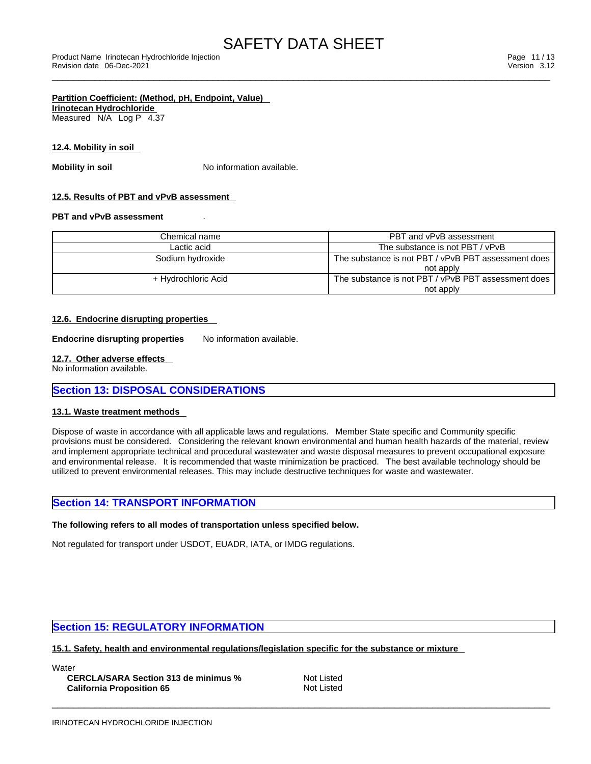### **Partition Coefficient: (Method, pH, Endpoint, Value) Irinotecan Hydrochloride**

Measured N/A Log P 4.37

### **12.4. Mobility in soil**

**Mobility in soil** No information available.

### **12.5. Results of PBT and vPvB assessment**

### **PBT and vPvB assessment** .

| Chemical name       | PBT and vPvB assessment                             |
|---------------------|-----------------------------------------------------|
| Lactic acid         | The substance is not PBT / vPvB                     |
| Sodium hydroxide    | The substance is not PBT / vPvB PBT assessment does |
|                     | not apply                                           |
| + Hydrochloric Acid | The substance is not PBT / vPvB PBT assessment does |
|                     | not apply                                           |

### **12.6. Endocrine disrupting properties**

**Endocrine disrupting properties** No information available.

### **12.7. Other adverse effects**

No information available.

### **Section 13: DISPOSAL CONSIDERATIONS**

### **13.1. Waste treatment methods**

Dispose of waste in accordance with all applicable laws and regulations. Member State specific and Community specific provisions must be considered. Considering the relevant known environmental and human health hazards of the material, review and implement appropriate technical and procedural wastewater and waste disposal measures to prevent occupational exposure and environmental release. It is recommended that waste minimization be practiced. The best available technology should be utilized to prevent environmental releases. This may include destructive techniques for waste and wastewater.

### **Section 14: TRANSPORT INFORMATION**

### **The following refers to all modes of transportation unless specified below.**

Not regulated for transport under USDOT, EUADR, IATA, or IMDG regulations.

### **Section 15: REGULATORY INFORMATION**

**15.1. Safety, health and environmental regulations/legislation specific for the substance or mixture**

**Water** 

**CERCLA/SARA Section 313 de minimus %** Not Listed **California Proposition 65** Not Listed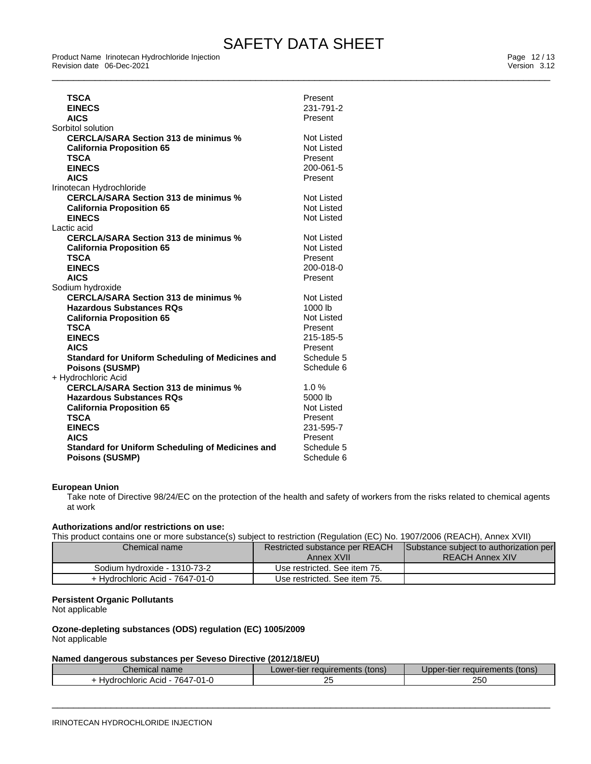Product Name Irinotecan Hydrochloride Injection [13] Product Name Irinotecan Hydrochloride Injection [13] Page 12 / 13<br>Revision date 06-Dec-2021 [13] Product Name International Product Name International Product Name Inter Revision date 06-Dec-2021 **Version 3.12** 

| <b>TSCA</b><br><b>EINECS</b><br><b>AICS</b><br>Sorbitol solution                                                                                                                                                                                                                                  | Present<br>231-791-2<br>Present                                                                           |
|---------------------------------------------------------------------------------------------------------------------------------------------------------------------------------------------------------------------------------------------------------------------------------------------------|-----------------------------------------------------------------------------------------------------------|
| <b>CERCLA/SARA Section 313 de minimus %</b><br><b>California Proposition 65</b><br><b>TSCA</b><br><b>EINECS</b><br><b>AICS</b>                                                                                                                                                                    | Not Listed<br>Not Listed<br>Present<br>200-061-5<br>Present                                               |
| Irinotecan Hydrochloride<br><b>CERCLA/SARA Section 313 de minimus %</b><br><b>California Proposition 65</b><br><b>EINECS</b>                                                                                                                                                                      | Not Listed<br>Not Listed<br>Not Listed                                                                    |
| Lactic acid<br><b>CERCLA/SARA Section 313 de minimus %</b><br><b>California Proposition 65</b><br><b>TSCA</b><br><b>EINECS</b><br><b>AICS</b>                                                                                                                                                     | <b>Not Listed</b><br>Not Listed<br>Present<br>200-018-0<br>Present                                        |
| Sodium hydroxide<br><b>CERCLA/SARA Section 313 de minimus %</b><br><b>Hazardous Substances RQs</b><br><b>California Proposition 65</b><br><b>TSCA</b><br><b>EINECS</b><br><b>AICS</b><br><b>Standard for Uniform Scheduling of Medicines and</b><br><b>Poisons (SUSMP)</b><br>+ Hydrochloric Acid | Not Listed<br>1000 lb<br><b>Not Listed</b><br>Present<br>215-185-5<br>Present<br>Schedule 5<br>Schedule 6 |
| <b>CERCLA/SARA Section 313 de minimus %</b><br><b>Hazardous Substances RQs</b><br><b>California Proposition 65</b><br><b>TSCA</b><br><b>EINECS</b><br><b>AICS</b><br><b>Standard for Uniform Scheduling of Medicines and</b><br><b>Poisons (SUSMP)</b>                                            | 1.0%<br>5000 lb<br><b>Not Listed</b><br>Present<br>231-595-7<br>Present<br>Schedule 5<br>Schedule 6       |

### **European Union**

Take note of Directive 98/24/EC on the protection of the health and safety of workers from the risks related to chemical agents at work

#### **Authorizations and/or restrictions on use:**

This product contains one or more substance(s) subject to restriction (Regulation (EC) No. 1907/2006 (REACH), Annex XVII)

| Chemical name                   | Restricted substance per REACH | Substance subject to authorization per |
|---------------------------------|--------------------------------|----------------------------------------|
|                                 | Annex XVII                     | <b>REACH Annex XIV</b>                 |
| Sodium hydroxide - 1310-73-2    | Use restricted. See item 75.   |                                        |
| + Hydrochloric Acid - 7647-01-0 | Use restricted. See item 75.   |                                        |

### **Persistent Organic Pollutants**

Not applicable

#### **Ozone-depleting substances (ODS) regulation (EC) 1005/2009** Not applicable

#### **Named dangerous substances per Seveso Directive (2012/18/EU)**

| mıcal name<br>וטווט                                                                 | ∵reauïrements≒<br>(tons)<br>_ower-<br>r-tier | requirements (tons)<br>pper-tier |
|-------------------------------------------------------------------------------------|----------------------------------------------|----------------------------------|
| 764,<br>$\overline{\phantom{a}}$<br><b>Hydrochloric</b><br>Acid<br>U1-0<br>.<br>. . | ∠J                                           | つらい<br>∠∪⊾                       |